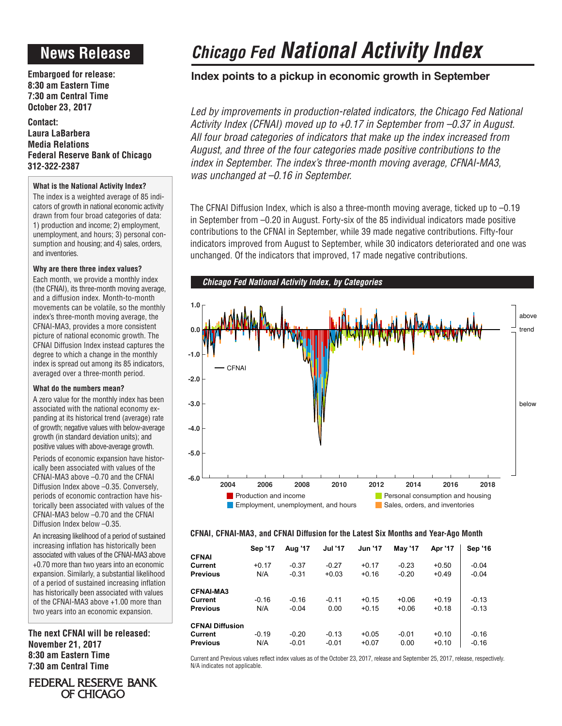# **News Release**

**Embargoed for release: 8:30 am Eastern Time 7:30 am Central Time October 23, 2017**

**Contact: Laura LaBarbera Media Relations Federal Reserve Bank of Chicago 312-322-2387**

## **What is the National Activity Index?**

The index is a weighted average of 85 indicators of growth in national economic activity drawn from four broad categories of data: 1) production and income; 2) employment, unemployment, and hours; 3) personal consumption and housing; and 4) sales, orders, and inventories.

## **Why are there three index values?**

Each month, we provide a monthly index (the CFNAI), its three-month moving average, and a diffusion index. Month-to-month movements can be volatile, so the monthly index's three-month moving average, the CFNAI-MA3, provides a more consistent picture of national economic growth. The CFNAI Diffusion Index instead captures the degree to which a change in the monthly index is spread out among its 85 indicators, averaged over a three-month period.

## **What do the numbers mean?**

A zero value for the monthly index has been associated with the national economy expanding at its historical trend (average) rate of growth; negative values with below-average growth (in standard deviation units); and positive values with above-average growth.

Periods of economic expansion have historically been associated with values of the CFNAI-MA3 above –0.70 and the CFNAI Diffusion Index above –0.35. Conversely, periods of economic contraction have historically been associated with values of the CFNAI-MA3 below –0.70 and the CFNAI Diffusion Index below –0.35.

An increasing likelihood of a period of sustained increasing inflation has historically been associated with values of the CFNAI-MA3 above +0.70 more than two years into an economic expansion. Similarly, a substantial likelihood of a period of sustained increasing inflation has historically been associated with values of the CFNAI-MA3 above +1.00 more than two years into an economic expansion.

**The next CFNAI will be released: November 21, 2017 8:30 am Eastern Time 7:30 am Central Time**

# **-1.0**

# *Chicago Fed National Activity Index*

# **Index points to a pickup in economic growth in September**

Led by improvements in production-related indicators, the Chicago Fed National *Activity Index (CFNAI) moved up to +0.17 in September from –0.37 in August. All four broad categories of indicators that make up the index increased from August, and three of the four categories made positive contributions to the index in September. The index's three-month moving average, CFNAI-MA3, was unchanged at –0.16 in September.*

The CFNAI Diffusion Index, which is also a three-month moving average, ticked up to –0.19 in September from –0.20 in August. Forty-six of the 85 individual indicators made positive contributions to the CFNAI in September, while 39 made negative contributions. Fifty-four indicators improved from August to September, while 30 indicators deteriorated and one was unchanged. Of the indicators that improved, 17 made negative contributions.



# **CFNAI, CFNAI-MA3, and CFNAI Diffusion for the Latest Six Months and Year-Ago Month**

| <b>CFNAI</b>                                         | <b>Sep '17</b> | Aug '17            | <b>Jul '17</b>     | <b>Jun '17</b>     | <b>May '17</b>     | Apr '17            | <b>Sep '16</b>     |
|------------------------------------------------------|----------------|--------------------|--------------------|--------------------|--------------------|--------------------|--------------------|
| Current<br><b>Previous</b>                           | $+0.17$<br>N/A | $-0.37$<br>$-0.31$ | $-0.27$<br>$+0.03$ | $+0.17$<br>$+0.16$ | $-0.23$<br>$-0.20$ | $+0.50$<br>$+0.49$ | $-0.04$<br>$-0.04$ |
| <b>CFNAI-MA3</b><br>Current<br><b>Previous</b>       | $-0.16$<br>N/A | $-0.16$<br>$-0.04$ | $-0.11$<br>0.00    | $+0.15$<br>$+0.15$ | $+0.06$<br>$+0.06$ | $+0.19$<br>$+0.18$ | $-0.13$<br>$-0.13$ |
| <b>CFNAI Diffusion</b><br>Current<br><b>Previous</b> | $-0.19$<br>N/A | $-0.20$<br>$-0.01$ | $-0.13$<br>$-0.01$ | $+0.05$<br>$+0.07$ | $-0.01$<br>0.00    | $+0.10$<br>$+0.10$ | $-0.16$<br>$-0.16$ |

Current and Previous values reflect index values as of the October 23, 2017, release and September 25, 2017, release, respectively. N/A indicates not applicable.

# FEDERAL RESERVE BANK OF CHICAGO